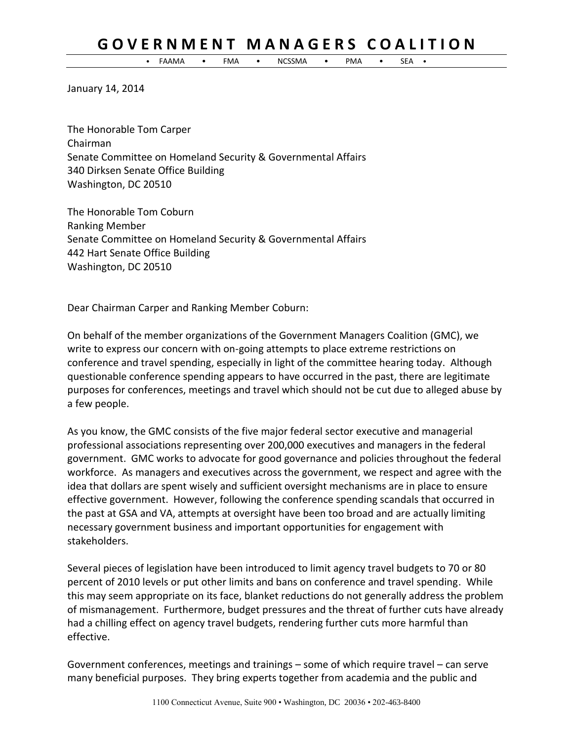## **G O V E R N M E N T M A N A G E R S C O A L I T I O N**

• FAAMA • FMA • NCSSMA • PMA • SEA •

January 14, 2014

The Honorable Tom Carper Chairman Senate Committee on Homeland Security & Governmental Affairs 340 Dirksen Senate Office Building Washington, DC 20510

The Honorable Tom Coburn Ranking Member Senate Committee on Homeland Security & Governmental Affairs 442 Hart Senate Office Building Washington, DC 20510

Dear Chairman Carper and Ranking Member Coburn:

On behalf of the member organizations of the Government Managers Coalition (GMC), we write to express our concern with on-going attempts to place extreme restrictions on conference and travel spending, especially in light of the committee hearing today. Although questionable conference spending appears to have occurred in the past, there are legitimate purposes for conferences, meetings and travel which should not be cut due to alleged abuse by a few people.

As you know, the GMC consists of the five major federal sector executive and managerial professional associations representing over 200,000 executives and managers in the federal government. GMC works to advocate for good governance and policies throughout the federal workforce. As managers and executives across the government, we respect and agree with the idea that dollars are spent wisely and sufficient oversight mechanisms are in place to ensure effective government. However, following the conference spending scandals that occurred in the past at GSA and VA, attempts at oversight have been too broad and are actually limiting necessary government business and important opportunities for engagement with stakeholders.

Several pieces of legislation have been introduced to limit agency travel budgets to 70 or 80 percent of 2010 levels or put other limits and bans on conference and travel spending. While this may seem appropriate on its face, blanket reductions do not generally address the problem of mismanagement. Furthermore, budget pressures and the threat of further cuts have already had a chilling effect on agency travel budgets, rendering further cuts more harmful than effective.

Government conferences, meetings and trainings – some of which require travel – can serve many beneficial purposes. They bring experts together from academia and the public and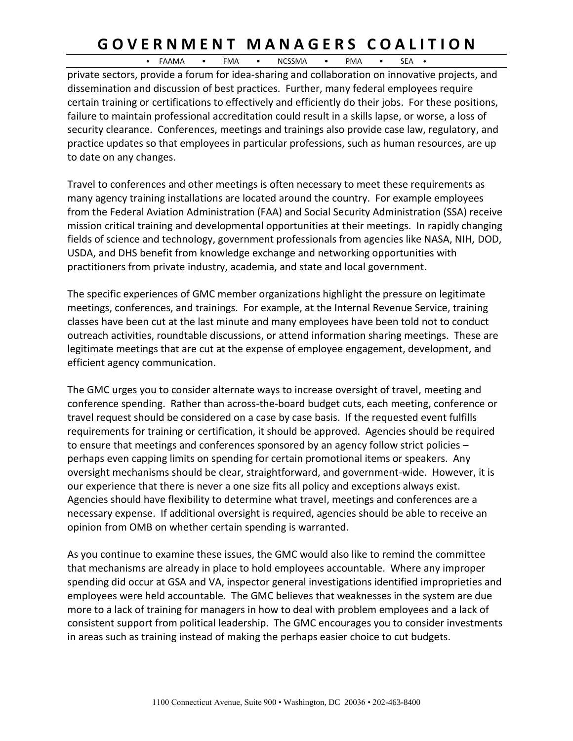## **G O V E R N M E N T M A N A G E R S C O A L I T I O N**

• FAAMA • FMA • NCSSMA • PMA • SEA •

private sectors, provide a forum for idea-sharing and collaboration on innovative projects, and dissemination and discussion of best practices. Further, many federal employees require certain training or certifications to effectively and efficiently do their jobs. For these positions, failure to maintain professional accreditation could result in a skills lapse, or worse, a loss of security clearance. Conferences, meetings and trainings also provide case law, regulatory, and practice updates so that employees in particular professions, such as human resources, are up to date on any changes.

Travel to conferences and other meetings is often necessary to meet these requirements as many agency training installations are located around the country. For example employees from the Federal Aviation Administration (FAA) and Social Security Administration (SSA) receive mission critical training and developmental opportunities at their meetings. In rapidly changing fields of science and technology, government professionals from agencies like NASA, NIH, DOD, USDA, and DHS benefit from knowledge exchange and networking opportunities with practitioners from private industry, academia, and state and local government.

The specific experiences of GMC member organizations highlight the pressure on legitimate meetings, conferences, and trainings. For example, at the Internal Revenue Service, training classes have been cut at the last minute and many employees have been told not to conduct outreach activities, roundtable discussions, or attend information sharing meetings. These are legitimate meetings that are cut at the expense of employee engagement, development, and efficient agency communication.

The GMC urges you to consider alternate ways to increase oversight of travel, meeting and conference spending. Rather than across-the-board budget cuts, each meeting, conference or travel request should be considered on a case by case basis. If the requested event fulfills requirements for training or certification, it should be approved. Agencies should be required to ensure that meetings and conferences sponsored by an agency follow strict policies – perhaps even capping limits on spending for certain promotional items or speakers. Any oversight mechanisms should be clear, straightforward, and government-wide. However, it is our experience that there is never a one size fits all policy and exceptions always exist. Agencies should have flexibility to determine what travel, meetings and conferences are a necessary expense. If additional oversight is required, agencies should be able to receive an opinion from OMB on whether certain spending is warranted.

As you continue to examine these issues, the GMC would also like to remind the committee that mechanisms are already in place to hold employees accountable. Where any improper spending did occur at GSA and VA, inspector general investigations identified improprieties and employees were held accountable. The GMC believes that weaknesses in the system are due more to a lack of training for managers in how to deal with problem employees and a lack of consistent support from political leadership. The GMC encourages you to consider investments in areas such as training instead of making the perhaps easier choice to cut budgets.